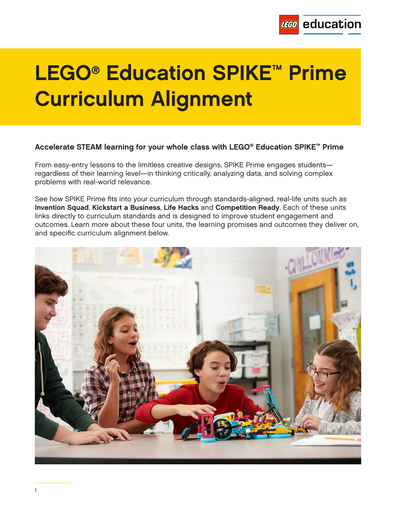

# **LEGO® Education SPIKE™ Prime Curriculum Alignment**

### **Accelerate STEAM learning for your whole class with LEGO® Education SPIKE™ Prime**

From easy-entry lessons to the limitless creative designs, SPIKE Prime engages students regardless of their learning level—in thinking critically, analyzing data, and solving complex problems with real-world relevance.

See how SPIKE Prime fits into your curriculum through standards-aligned, real-life units such as **Invention Squad**, **Kickstart a Business**, **Life Hacks** and **Competition Ready**. Each of these units links directly to curriculum standards and is designed to improve student engagement and outcomes. Learn more about these four units, the learning promises and outcomes they deliver on, and specific curriculum alignment below.

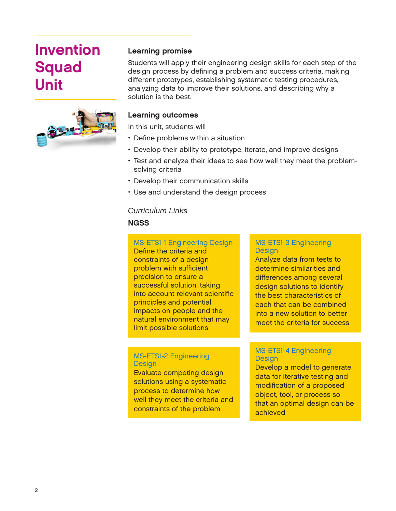### **Invention Squad Unit**



### **Learning promise**

Students will apply their engineering design skills for each step of the design process by defining a problem and success criteria, making different prototypes, establishing systematic testing procedures, analyzing data to improve their solutions, and describing why a solution is the best.

### **Learning outcomes**

In this unit, students will

- Define problems within a situation
- Develop their ability to prototype, iterate, and improve designs
- Test and analyze their ideas to see how well they meet the problemsolving criteria
- Develop their communication skills
- Use and understand the design process

### *Curriculum Links*

### **NGSS**

MS-ETS1-1 Engineering Design Define the criteria and constraints of a design problem with sufficient precision to ensure a successful solution, taking into account relevant scientific principles and potential impacts on people and the natural environment that may limit possible solutions

### MS-ETS1-2 Engineering **Design**

Evaluate competing design solutions using a systematic process to determine how well they meet the criteria and constraints of the problem

#### MS-ETS1-3 Engineering **Design**

Analyze data from tests to determine similarities and differences among several design solutions to identify the best characteristics of each that can be combined into a new solution to better meet the criteria for success

#### MS-ETS1-4 Engineering **Design**

Develop a model to generate data for iterative testing and modification of a proposed object, tool, or process so that an optimal design can be achieved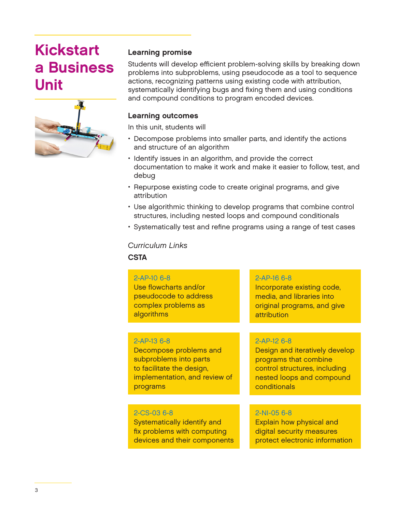## **Kickstart a Business Unit**



### **Learning promise**

Students will develop efficient problem-solving skills by breaking down problems into subproblems, using pseudocode as a tool to sequence actions, recognizing patterns using existing code with attribution, systematically identifying bugs and fixing them and using conditions and compound conditions to program encoded devices.

### **Learning outcomes**

In this unit, students will

- Decompose problems into smaller parts, and identify the actions and structure of an algorithm
- Identify issues in an algorithm, and provide the correct documentation to make it work and make it easier to follow, test, and debug
- Repurpose existing code to create original programs, and give attribution
- Use algorithmic thinking to develop programs that combine control structures, including nested loops and compound conditionals
- Systematically test and refine programs using a range of test cases

### *Curriculum Links*

**CSTA**

### 2-AP-10 6-8

Use flowcharts and/or pseudocode to address complex problems as algorithms

### 2-AP-13 6-8

Decompose problems and subproblems into parts to facilitate the design, implementation, and review of programs

### attribution

2-AP-16 6-8

### 2-AP-12 6-8

Design and iteratively develop programs that combine control structures, including nested loops and compound conditionals

Incorporate existing code, media, and libraries into original programs, and give

### 2-CS-03 6-8

Systematically identify and fix problems with computing devices and their components

### 2-NI-05 6-8

Explain how physical and digital security measures protect electronic information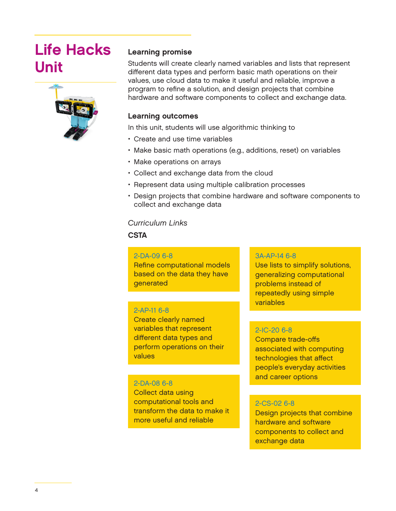### **Life Hacks Unit**



### **Learning promise**

Students will create clearly named variables and lists that represent different data types and perform basic math operations on their values, use cloud data to make it useful and reliable, improve a program to refine a solution, and design projects that combine hardware and software components to collect and exchange data.

### **Learning outcomes**

In this unit, students will use algorithmic thinking to

- Create and use time variables
- Make basic math operations (e.g., additions, reset) on variables
- Make operations on arrays
- Collect and exchange data from the cloud
- Represent data using multiple calibration processes
- Design projects that combine hardware and software components to collect and exchange data

### *Curriculum Links*

**CSTA**

### 2-DA-09 6-8

Refine computational models based on the data they have generated

### 2-AP-11 6-8

Create clearly named variables that represent different data types and perform operations on their values

### 2-DA-08 6-8

Collect data using computational tools and transform the data to make it more useful and reliable

### 3A-AP-14 6-8

Use lists to simplify solutions, generalizing computational problems instead of repeatedly using simple variables

### 2-IC-20 6-8

Compare trade-offs associated with computing technologies that affect people's everyday activities and career options

### 2-CS-02 6-8

Design projects that combine hardware and software components to collect and exchange data